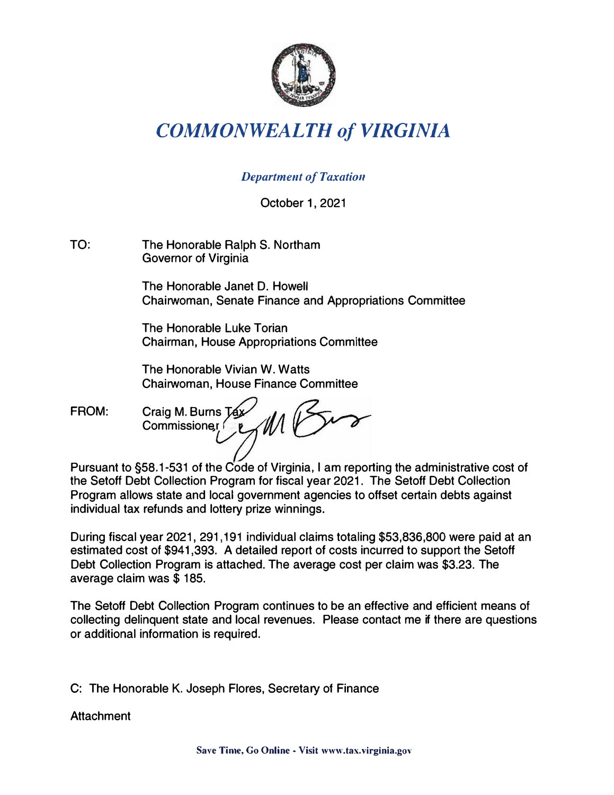

## *COMMONWEALTH of VIRGINIA*

## **Department of Taxation**

October 1, 2021

TO: The Honorable Ralph S. Northam Governor of Virginia

> The Honorable Janet D. Howell Chairwoman, Senate Finance and Appropriations Committee

The Honorable Luke Torian Chairman, House Appropriations Committee

The Honorable Vivian W. Watts Chairwoman, House Finance Committee

FROM: Craig M. Burns Tax Commissioner

Pursuant to §58.1-531 of the Code of Virginia, I am reporting the administrative cost of the Setoff Debt Collection Program for fiscal year 2021. The Setoff Debt Collection Program allows state and local government agencies to offset certain debts against individual tax refunds and lottery prize winnings.

During fiscal year 2021, 291,191 individual claims totaling \$53,836,800 were paid at an estimated cost of \$941,393. A detailed report of costs incurred to support the Setoff Debt Collection Program is attached. The average cost per claim was \$3.23. The average claim was \$ 185.

The Setoff Debt Collection Program continues to be an effective and efficient means of collecting delinquent state and local revenues. Please contact me if there are questions or additional information is required.

C: The Honorable K. Joseph Flores, Secretary of Finance

**Attachment**